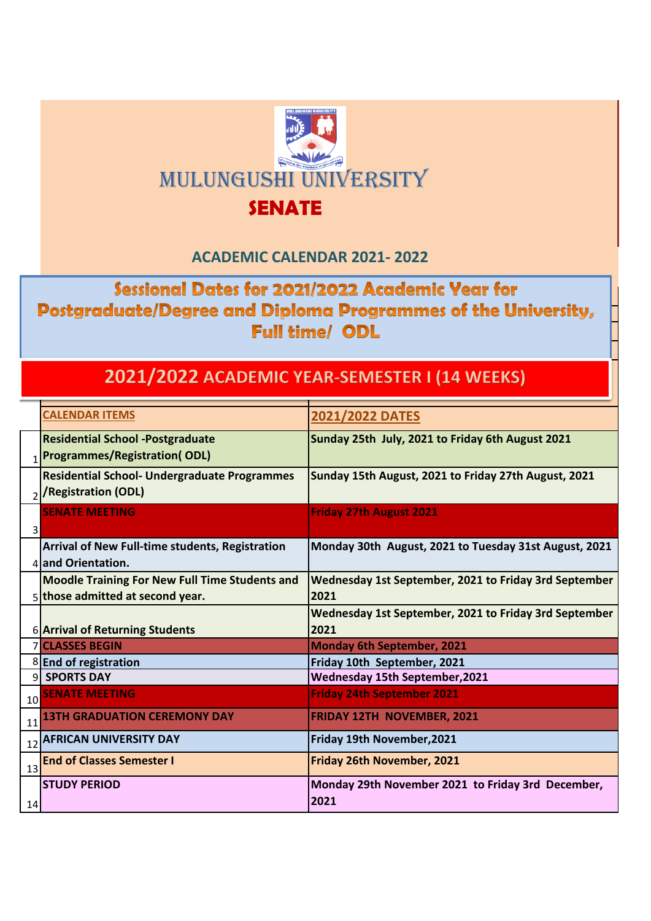

## **ACADEMIC CALENDAR 2021- 2022**

Sessional Dates for 2021/2022 Academic Year for Postgraduate/Degree and Diploma Programmes of the University, **Full time/ ODL** 

## 2021/2022 ACADEMIC YEAR-SEMESTER I (14 WEEKS)

|    | <b>CALENDAR ITEMS</b>                                  | 2021/2022 DATES                                       |  |
|----|--------------------------------------------------------|-------------------------------------------------------|--|
|    | <b>Residential School -Postgraduate</b>                | Sunday 25th July, 2021 to Friday 6th August 2021      |  |
|    | <b>Programmes/Registration(ODL)</b>                    |                                                       |  |
|    | <b>Residential School- Undergraduate Programmes</b>    | Sunday 15th August, 2021 to Friday 27th August, 2021  |  |
|    | <b>/Registration (ODL)</b>                             |                                                       |  |
|    | <b>SENATE MEETING</b>                                  | <b>Friday 27th August 2021</b>                        |  |
| 3  |                                                        |                                                       |  |
|    | <b>Arrival of New Full-time students, Registration</b> | Monday 30th August, 2021 to Tuesday 31st August, 2021 |  |
|    | 4 and Orientation.                                     |                                                       |  |
|    | <b>Moodle Training For New Full Time Students and</b>  | Wednesday 1st September, 2021 to Friday 3rd September |  |
|    | 5 those admitted at second year.                       | 2021                                                  |  |
|    |                                                        | Wednesday 1st September, 2021 to Friday 3rd September |  |
|    |                                                        |                                                       |  |
|    | 6 Arrival of Returning Students                        | 2021                                                  |  |
|    | <b>7 CLASSES BEGIN</b>                                 | <b>Monday 6th September, 2021</b>                     |  |
|    | 8 End of registration                                  | Friday 10th September, 2021                           |  |
|    | 9 SPORTS DAY                                           | <b>Wednesday 15th September, 2021</b>                 |  |
| 10 | <b>SENATE MEETING</b>                                  | <b>Friday 24th September 2021</b>                     |  |
| 11 | <b>13TH GRADUATION CEREMONY DAY</b>                    | <b>FRIDAY 12TH NOVEMBER, 2021</b>                     |  |
| 12 | <b>AFRICAN UNIVERSITY DAY</b>                          | Friday 19th November, 2021                            |  |
| 13 | <b>End of Classes Semester I</b>                       | Friday 26th November, 2021                            |  |
|    | <b>STUDY PERIOD</b>                                    | Monday 29th November 2021 to Friday 3rd December,     |  |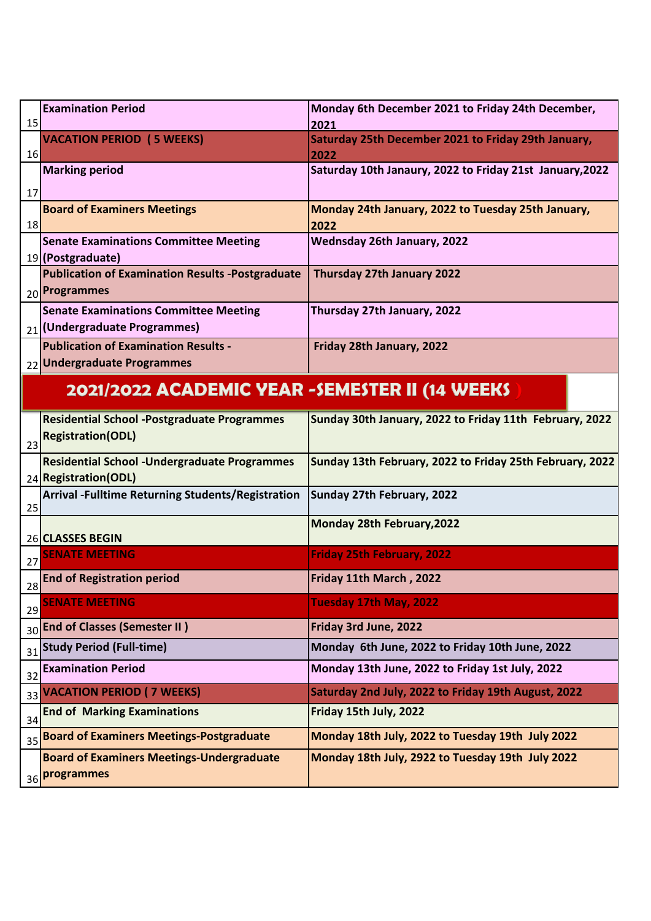| 15 | <b>Examination Period</b>                                         | Monday 6th December 2021 to Friday 24th December,<br>2021  |
|----|-------------------------------------------------------------------|------------------------------------------------------------|
|    | <b>VACATION PERIOD (5 WEEKS)</b>                                  | Saturday 25th December 2021 to Friday 29th January,        |
| 16 |                                                                   | 2022                                                       |
|    | <b>Marking period</b>                                             | Saturday 10th Janaury, 2022 to Friday 21st January, 2022   |
| 17 |                                                                   |                                                            |
| 18 | <b>Board of Examiners Meetings</b>                                | Monday 24th January, 2022 to Tuesday 25th January,<br>2022 |
|    | <b>Senate Examinations Committee Meeting</b><br>19 (Postgraduate) | Wednsday 26th January, 2022                                |
|    | <b>Publication of Examination Results -Postgraduate</b>           | Thursday 27th January 2022                                 |
|    | 20 Programmes                                                     |                                                            |
|    | <b>Senate Examinations Committee Meeting</b>                      | Thursday 27th January, 2022                                |
|    | 21 (Undergraduate Programmes)                                     |                                                            |
|    | <b>Publication of Examination Results -</b>                       | Friday 28th January, 2022                                  |
|    | 22 Undergraduate Programmes                                       |                                                            |
|    | 2021/2022 ACADEMIC YEAR -SEMESTER II (14 WEEKS                    |                                                            |
|    | <b>Residential School -Postgraduate Programmes</b>                | Sunday 30th January, 2022 to Friday 11th February, 2022    |
| 23 | <b>Registration(ODL)</b>                                          |                                                            |
|    | <b>Residential School - Undergraduate Programmes</b>              | Sunday 13th February, 2022 to Friday 25th February, 2022   |
|    | 24 Registration (ODL)                                             |                                                            |
| 25 | <b>Arrival -Fulltime Returning Students/Registration</b>          | Sunday 27th February, 2022                                 |
|    | 26 CLASSES BEGIN                                                  | Monday 28th February, 2022                                 |
| 27 | <b>SENATE MEETING</b>                                             | <b>Friday 25th February, 2022</b>                          |
| 28 | <b>End of Registration period</b>                                 | Friday 11th March, 2022                                    |
| 29 | <b>SENATE MEETING</b>                                             | Tuesday 17th May, 2022                                     |
| 30 | <b>End of Classes (Semester II)</b>                               | Friday 3rd June, 2022                                      |
| 31 | <b>Study Period (Full-time)</b>                                   | Monday 6th June, 2022 to Friday 10th June, 2022            |
| 32 | <b>Examination Period</b>                                         | Monday 13th June, 2022 to Friday 1st July, 2022            |
|    | 33 VACATION PERIOD ( 7 WEEKS)                                     | Saturday 2nd July, 2022 to Friday 19th August, 2022        |
| 34 | <b>End of Marking Examinations</b>                                | Friday 15th July, 2022                                     |
| 35 | <b>Board of Examiners Meetings-Postgraduate</b>                   | Monday 18th July, 2022 to Tuesday 19th July 2022           |
|    | <b>Board of Examiners Meetings-Undergraduate</b>                  | Monday 18th July, 2922 to Tuesday 19th July 2022           |
|    | 36 <b>Programmes</b>                                              |                                                            |